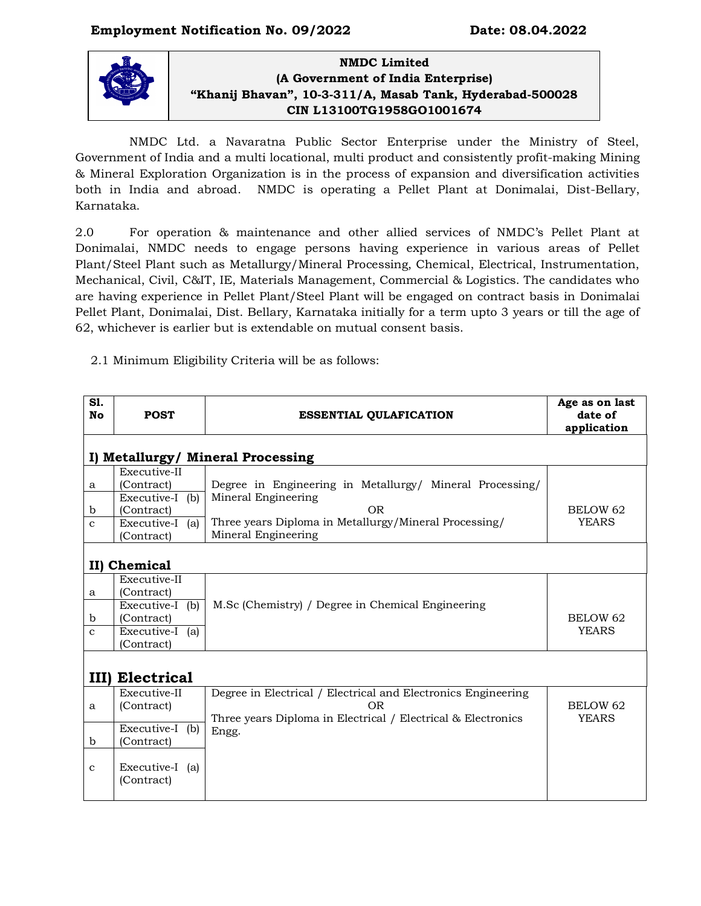# **Employment Notification No. 09/2022 Date: 08.04.2022**



## **NMDC Limited (A Government of India Enterprise) "Khanij Bhavan", 10-3-311/A, Masab Tank, Hyderabad-500028 CIN L13100TG1958GO1001674**

NMDC Ltd. a Navaratna Public Sector Enterprise under the Ministry of Steel, Government of India and a multi locational, multi product and consistently profit-making Mining & Mineral Exploration Organization is in the process of expansion and diversification activities both in India and abroad. NMDC is operating a Pellet Plant at Donimalai, Dist-Bellary, Karnataka.

2.0 For operation & maintenance and other allied services of NMDC's Pellet Plant at Donimalai, NMDC needs to engage persons having experience in various areas of Pellet Plant/Steel Plant such as Metallurgy/Mineral Processing, Chemical, Electrical, Instrumentation, Mechanical, Civil, C&IT, IE, Materials Management, Commercial & Logistics. The candidates who are having experience in Pellet Plant/Steel Plant will be engaged on contract basis in Donimalai Pellet Plant, Donimalai, Dist. Bellary, Karnataka initially for a term upto 3 years or till the age of 62, whichever is earlier but is extendable on mutual consent basis.

2.1 Minimum Eligibility Criteria will be as follows:

| <b>S1.</b><br>No       | <b>POST</b>                                                                                  | <b>ESSENTIAL QULAFICATION</b>                                                                                                                                          | Age as on last<br>date of<br>application |
|------------------------|----------------------------------------------------------------------------------------------|------------------------------------------------------------------------------------------------------------------------------------------------------------------------|------------------------------------------|
|                        |                                                                                              | I) Metallurgy/ Mineral Processing                                                                                                                                      |                                          |
| a<br>b<br>$\mathbf{C}$ | Executive-II<br>(Contract)<br>Executive-I (b)<br>(Contract)<br>Executive-I (a)<br>(Contract) | Degree in Engineering in Metallurgy/ Mineral Processing/<br>Mineral Engineering<br>OR.<br>Three years Diploma in Metallurgy/Mineral Processing/<br>Mineral Engineering | <b>BELOW 62</b><br><b>YEARS</b>          |
|                        | II) Chemical                                                                                 |                                                                                                                                                                        |                                          |
| a<br>b<br>$\mathbf{C}$ | Executive-II<br>(Contract)<br>Executive-I (b)<br>(Contract)<br>Executive-I (a)<br>(Contract) | M.Sc (Chemistry) / Degree in Chemical Engineering                                                                                                                      | BELOW <sub>62</sub><br><b>YEARS</b>      |
| $III$ )                | <b>Electrical</b>                                                                            |                                                                                                                                                                        |                                          |
| a                      | Executive-II<br>(Contract)                                                                   | Degree in Electrical / Electrical and Electronics Engineering<br><b>OR</b><br>Three years Diploma in Electrical / Electrical & Electronics                             | BELOW <sub>62</sub><br><b>YEARS</b>      |
| $\mathbf b$            | Executive-I (b)<br>(Contract)                                                                | Engg.                                                                                                                                                                  |                                          |
| $\mathbf{C}$           | Executive-I (a)<br>(Contract)                                                                |                                                                                                                                                                        |                                          |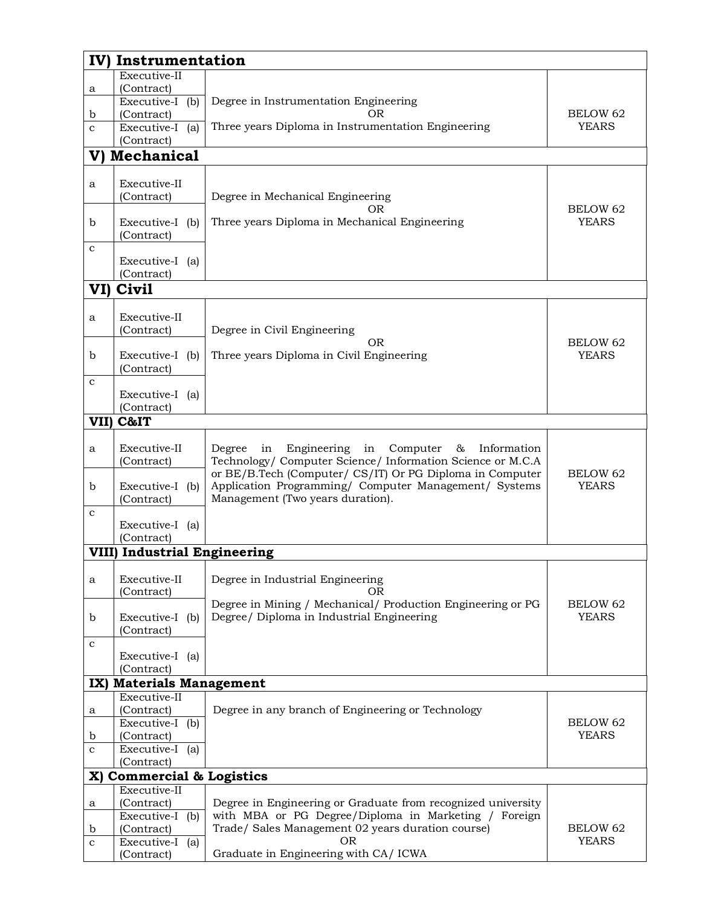|              | IV)<br>Instrumentation                            |                                                                                                                        |                                 |  |  |
|--------------|---------------------------------------------------|------------------------------------------------------------------------------------------------------------------------|---------------------------------|--|--|
|              | Executive-II                                      |                                                                                                                        |                                 |  |  |
| a            | (Contract)                                        |                                                                                                                        |                                 |  |  |
| $\mathbf b$  | Executive-I (b)<br>(Contract)                     | Degree in Instrumentation Engineering<br>OR                                                                            | BELOW 62                        |  |  |
| $\mathbf{C}$ | Executive-I (a)                                   | Three years Diploma in Instrumentation Engineering                                                                     | <b>YEARS</b>                    |  |  |
|              | (Contract)                                        |                                                                                                                        |                                 |  |  |
|              | V) Mechanical                                     |                                                                                                                        |                                 |  |  |
|              |                                                   |                                                                                                                        |                                 |  |  |
| a            | Executive-II                                      |                                                                                                                        |                                 |  |  |
|              | (Contract)                                        | Degree in Mechanical Engineering<br>OR.                                                                                | <b>BELOW 62</b>                 |  |  |
| b            | Executive-I (b)                                   | Three years Diploma in Mechanical Engineering                                                                          | <b>YEARS</b>                    |  |  |
|              | (Contract)                                        |                                                                                                                        |                                 |  |  |
| $\mathbf{C}$ |                                                   |                                                                                                                        |                                 |  |  |
|              | Executive-I (a)                                   |                                                                                                                        |                                 |  |  |
|              | (Contract)                                        |                                                                                                                        |                                 |  |  |
| VI)          | Civil                                             |                                                                                                                        |                                 |  |  |
| a            | Executive-II                                      |                                                                                                                        |                                 |  |  |
|              | (Contract)                                        | Degree in Civil Engineering                                                                                            |                                 |  |  |
|              |                                                   | <b>OR</b>                                                                                                              | BELOW <sub>62</sub>             |  |  |
| $\mathbf b$  | Executive-I (b)                                   | Three years Diploma in Civil Engineering                                                                               | <b>YEARS</b>                    |  |  |
|              | (Contract)                                        |                                                                                                                        |                                 |  |  |
| $\mathbf c$  | Executive-I (a)                                   |                                                                                                                        |                                 |  |  |
|              | (Contract)                                        |                                                                                                                        |                                 |  |  |
| VII)         | C&IT                                              |                                                                                                                        |                                 |  |  |
|              |                                                   |                                                                                                                        |                                 |  |  |
| a            | Executive-II                                      | Engineering<br>Computer<br>Information<br>Degree<br>in<br>&<br>in                                                      |                                 |  |  |
|              | (Contract)                                        | Technology/ Computer Science/ Information Science or M.C.A<br>or BE/B.Tech (Computer/ CS/IT) Or PG Diploma in Computer | <b>BELOW 62</b>                 |  |  |
| $\mathbf b$  | Executive-I (b)                                   | Application Programming/ Computer Management/ Systems                                                                  | <b>YEARS</b>                    |  |  |
|              | (Contract)                                        | Management (Two years duration).                                                                                       |                                 |  |  |
| $\mathbf c$  |                                                   |                                                                                                                        |                                 |  |  |
|              | Executive-I (a)                                   |                                                                                                                        |                                 |  |  |
|              | (Contract)<br><b>VIII) Industrial Engineering</b> |                                                                                                                        |                                 |  |  |
|              |                                                   |                                                                                                                        |                                 |  |  |
| a            | Executive-II                                      | Degree in Industrial Engineering                                                                                       |                                 |  |  |
|              | (Contract)                                        | OR                                                                                                                     |                                 |  |  |
| $\mathbf b$  | Executive-I (b)                                   | Degree in Mining / Mechanical/ Production Engineering or PG<br>Degree/ Diploma in Industrial Engineering               | <b>BELOW 62</b><br><b>YEARS</b> |  |  |
|              | (Contract)                                        |                                                                                                                        |                                 |  |  |
| $\mathbf c$  |                                                   |                                                                                                                        |                                 |  |  |
|              | Executive-I (a)                                   |                                                                                                                        |                                 |  |  |
|              | (Contract)                                        |                                                                                                                        |                                 |  |  |
|              | IX) Materials Management                          |                                                                                                                        |                                 |  |  |
| a            | Executive-II<br>(Contract)                        | Degree in any branch of Engineering or Technology                                                                      |                                 |  |  |
|              | Executive-I (b)                                   |                                                                                                                        | BELOW <sub>62</sub>             |  |  |
| b            | (Contract)                                        |                                                                                                                        | <b>YEARS</b>                    |  |  |
| $\mathbf c$  | Executive-I (a)                                   |                                                                                                                        |                                 |  |  |
|              | (Contract)                                        |                                                                                                                        |                                 |  |  |
|              | X) Commercial & Logistics<br>Executive-II         |                                                                                                                        |                                 |  |  |
| a            | (Contract)                                        | Degree in Engineering or Graduate from recognized university                                                           |                                 |  |  |
|              | Executive- $I$ (b)                                | with MBA or PG Degree/Diploma in Marketing / Foreign                                                                   |                                 |  |  |
| b            | (Contract)                                        | Trade/ Sales Management 02 years duration course)                                                                      | <b>BELOW 62</b>                 |  |  |
| $\mathbf c$  | Executive-I (a)                                   | OR                                                                                                                     | <b>YEARS</b>                    |  |  |
|              | (Contract)                                        | Graduate in Engineering with CA/ ICWA                                                                                  |                                 |  |  |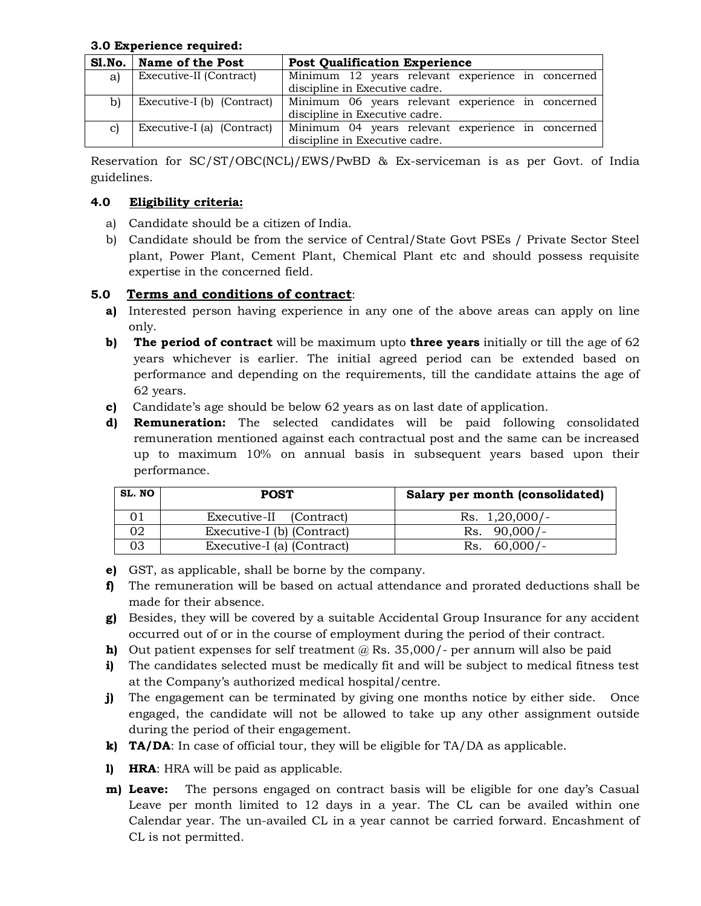#### **3.0 Experience required:**

|    | Sl.No.   Name of the Post  | <b>Post Qualification Experience</b>              |  |  |
|----|----------------------------|---------------------------------------------------|--|--|
| a) | Executive-II (Contract)    | Minimum 12 years relevant experience in concerned |  |  |
|    |                            | discipline in Executive cadre.                    |  |  |
| b) | Executive-I (b) (Contract) | Minimum 06 years relevant experience in concerned |  |  |
|    |                            | discipline in Executive cadre.                    |  |  |
| C) | Executive-I (a) (Contract) | Minimum 04 years relevant experience in concerned |  |  |
|    |                            | discipline in Executive cadre.                    |  |  |

Reservation for SC/ST/OBC(NCL)/EWS/PwBD & Ex-serviceman is as per Govt. of India guidelines.

### **4.0 Eligibility criteria:**

- a) Candidate should be a citizen of India.
- b) Candidate should be from the service of Central/State Govt PSEs / Private Sector Steel plant, Power Plant, Cement Plant, Chemical Plant etc and should possess requisite expertise in the concerned field.

### **5.0 Terms and conditions of contract**:

- **a)** Interested person having experience in any one of the above areas can apply on line only.
- **b) The period of contract** will be maximum upto **three years** initially or till the age of 62 years whichever is earlier. The initial agreed period can be extended based on performance and depending on the requirements, till the candidate attains the age of 62 years.
- **c)** Candidate's age should be below 62 years as on last date of application.
- **d) Remuneration:** The selected candidates will be paid following consolidated remuneration mentioned against each contractual post and the same can be increased up to maximum 10% on annual basis in subsequent years based upon their performance.

| SL. NO | <b>POST</b>                | Salary per month (consolidated) |
|--------|----------------------------|---------------------------------|
|        | Executive-II (Contract)    | Rs. $1,20,000/-$                |
| 02     | Executive-I (b) (Contract) | Rs. $90,000/-$                  |
| 03     | Executive-I (a) (Contract) | $60,000/-$<br>Rs.               |

- **e)** GST, as applicable, shall be borne by the company.
- **f)** The remuneration will be based on actual attendance and prorated deductions shall be made for their absence.
- **g)** Besides, they will be covered by a suitable Accidental Group Insurance for any accident occurred out of or in the course of employment during the period of their contract.
- **h)** Out patient expenses for self treatment @ Rs. 35,000/- per annum will also be paid
- **i)** The candidates selected must be medically fit and will be subject to medical fitness test at the Company's authorized medical hospital/centre.
- **j)** The engagement can be terminated by giving one months notice by either side. Once engaged, the candidate will not be allowed to take up any other assignment outside during the period of their engagement.
- **k) TA/DA**: In case of official tour, they will be eligible for TA/DA as applicable.
- **l) HRA**: HRA will be paid as applicable.
- **m) Leave:** The persons engaged on contract basis will be eligible for one day's Casual Leave per month limited to 12 days in a year. The CL can be availed within one Calendar year. The un-availed CL in a year cannot be carried forward. Encashment of CL is not permitted.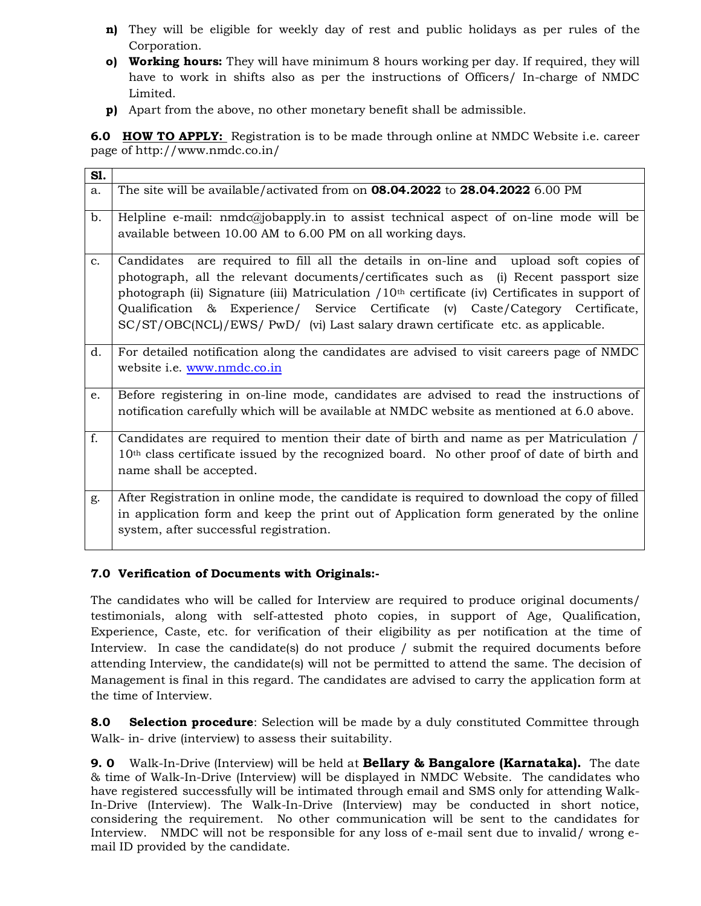- **n)** They will be eligible for weekly day of rest and public holidays as per rules of the Corporation.
- **o) Working hours:** They will have minimum 8 hours working per day. If required, they will have to work in shifts also as per the instructions of Officers/ In-charge of NMDC Limited.
- **p)** Apart from the above, no other monetary benefit shall be admissible.

**6.0 HOW TO APPLY:** Registration is to be made through online at NMDC Website i.e. career page of http://www.nmdc.co.in/

| S1.           |                                                                                                                                                                                                                                                                                                                                                                                                                                                         |
|---------------|---------------------------------------------------------------------------------------------------------------------------------------------------------------------------------------------------------------------------------------------------------------------------------------------------------------------------------------------------------------------------------------------------------------------------------------------------------|
| a.            | The site will be available/activated from on $08.04.2022$ to $28.04.2022$ 6.00 PM                                                                                                                                                                                                                                                                                                                                                                       |
| b.            | Helpline e-mail: $nmdc@jobapply.in$ to assist technical aspect of on-line mode will be<br>available between 10.00 AM to 6.00 PM on all working days.                                                                                                                                                                                                                                                                                                    |
| $C_{\bullet}$ | Candidates are required to fill all the details in on-line and upload soft copies of<br>photograph, all the relevant documents/certificates such as (i) Recent passport size<br>photograph (ii) Signature (iii) Matriculation $/10th$ certificate (iv) Certificates in support of<br>Qualification & Experience/ Service Certificate (v) Caste/Category Certificate,<br>SC/ST/OBC(NCL)/EWS/ PwD/ (vi) Last salary drawn certificate etc. as applicable. |
| d.            | For detailed notification along the candidates are advised to visit careers page of NMDC<br>website i.e. www.nmdc.co.in                                                                                                                                                                                                                                                                                                                                 |
| e.            | Before registering in on-line mode, candidates are advised to read the instructions of<br>notification carefully which will be available at NMDC website as mentioned at 6.0 above.                                                                                                                                                                                                                                                                     |
| f.            | Candidates are required to mention their date of birth and name as per Matriculation /<br>10 <sup>th</sup> class certificate issued by the recognized board. No other proof of date of birth and<br>name shall be accepted.                                                                                                                                                                                                                             |
| g.            | After Registration in online mode, the candidate is required to download the copy of filled<br>in application form and keep the print out of Application form generated by the online<br>system, after successful registration.                                                                                                                                                                                                                         |

#### **7.0 Verification of Documents with Originals:-**

The candidates who will be called for Interview are required to produce original documents/ testimonials, along with self-attested photo copies, in support of Age, Qualification, Experience, Caste, etc. for verification of their eligibility as per notification at the time of Interview. In case the candidate(s) do not produce / submit the required documents before attending Interview, the candidate(s) will not be permitted to attend the same. The decision of Management is final in this regard. The candidates are advised to carry the application form at the time of Interview.

**8.0 Selection procedure**: Selection will be made by a duly constituted Committee through Walk- in- drive (interview) to assess their suitability.

**9. 0** Walk-In-Drive (Interview) will be held at **Bellary & Bangalore (Karnataka).** The date & time of Walk-In-Drive (Interview) will be displayed in NMDC Website. The candidates who have registered successfully will be intimated through email and SMS only for attending Walk-In-Drive (Interview). The Walk-In-Drive (Interview) may be conducted in short notice, considering the requirement. No other communication will be sent to the candidates for Interview. NMDC will not be responsible for any loss of e-mail sent due to invalid/ wrong email ID provided by the candidate.